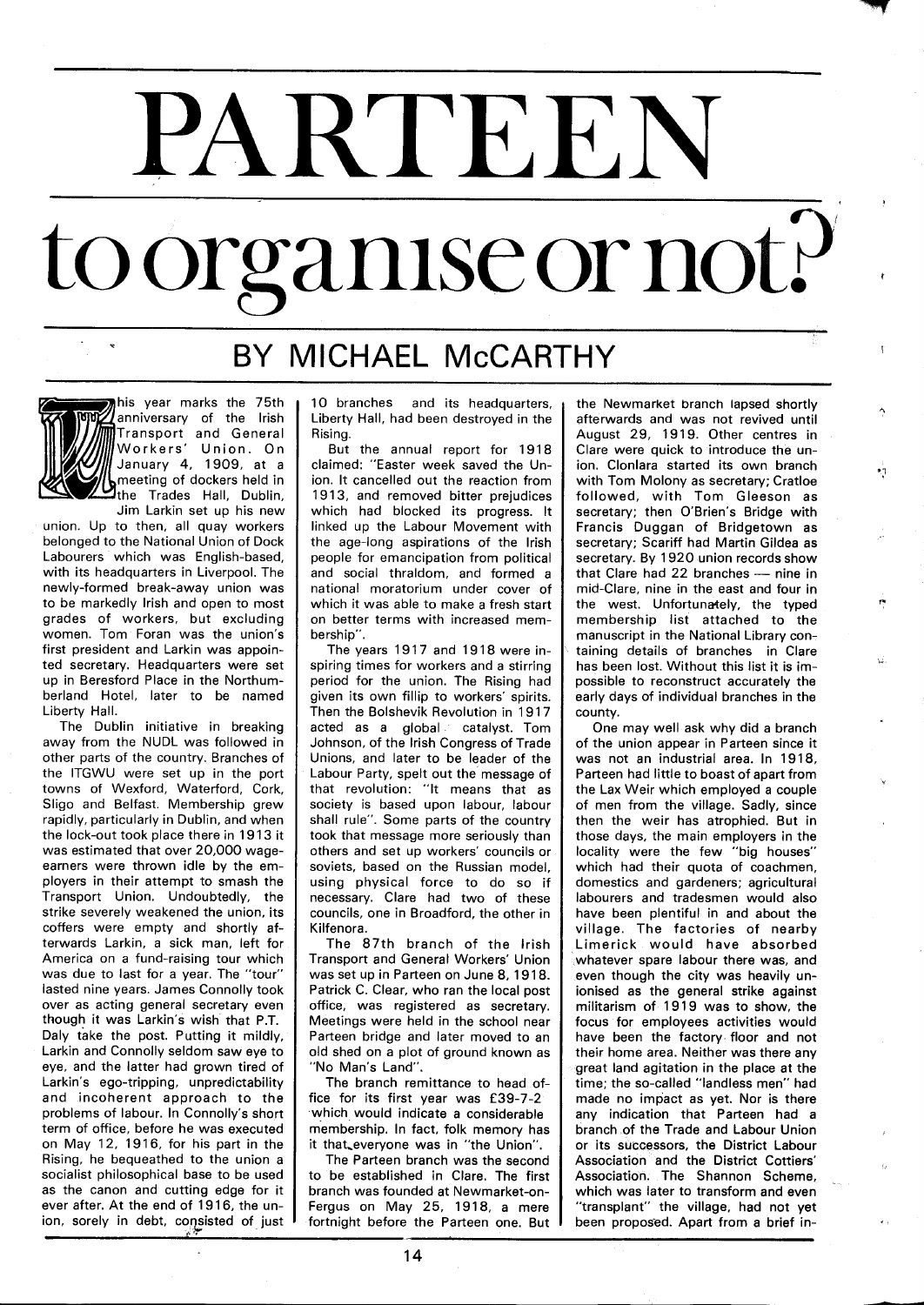## PARTEEN to organise or not?

## BY MICHAEL McCARTHY

his year marks the 75th anniversary of the lrish Transport and General Workers' Union. On January 4, 1909, at a meeting of dockers held in the Trades Hall, Dublin, Jim Larkin set up his new

union. Up to then, all quay workers belonged to the National Union of Dock Labourers which was English-based, with its headquarters in Liverpool. The newly-formed break-away union was to be markedly lrish and open to most grades of workers, but excluding women. Tom Foran was the union's first president and Larkin was appointed secretary. Headquarters were set up in Beresford Place in the Northumberland Hotel, later to be named Liberty Hall.

The Dublin initiative in breaking away from the NUDL was followed in other parts of the country. Branches of the ITGWU were set up in the port towns of Wexford, Waterford, Cork, Sligo and Belfast. Membership grew rapidly, particularly in Dublin, and when the lock-out took place there in 19 13 it was estimated that over 20,000 wageearners were thrown idle by the employers in their attempt to smash the Transport Union. Undoubtedly, the strike severely weakened the union, its coffers were empty and shortly afterwards Larkin, a sick man, left for America on a fund-raising tour which was due to last for a year. The "tour" lasted nine years. James Connolly took over as acting general secretary even though it was Larkin's wish that P.T. Daly fake the post. Putting it mildly, Larkin and Connolly seldom saw eye to eye, and the latter had grown tired of Larkin's ego-tripping, unpredictability and incoherent approach to the problems of labour. In Connolly's short term of office, before he was executed on May 12, 1916, for his part in the Rising, he bequeathed to the union a socialist philosophical base to be used as the canon and cutting edge for it ever after. At the end of 19 16, the union, sorely in debt, consisted of just 10 branches and its headquarters, Liberty Hall, had been destroyed in the Rising.

But the annual report for 1918 claimed: "Easter week saved the Union. It cancelled out the reaction from 1913, and removed bitter prejudices which had blocked its progress. It linked up the Labour Movement with the age-long aspirations of the lrish people for emancipation from political and social thraldom, and formed a national moratorium under cover of which it was able to make a fresh start on better terms with increased membership".

The years 1917 and 1918 were inspiring times for workers and a stirring period for the union. The Rising had given its own fillip to workers' spirits. Then the Bolshevik Revolution in 19 17 acted as a global catalyst. Tom Johnson, of the lrish Congress of Trade Unions, and later to be leader of the Labour Party, spelt out the message of that revolution: "It means that as society is based upon labour, labour shall rule". Some parts of the country took that message more seriously than others and set up workers' councils or soviets, based on the Russian model, using physical force to do so if necessary. Clare had two of these councils, one in Broadford, the other in Kilfenora.

The 87th branch of the lrish Transport and General Workers' Union was set up in Parteen on June 8, 1918. Patrick C. Clear, who ran the local post office, was registered as secretary. Meetings were held in the school near Parteen bridge and later moved to an old shed on a plot of ground known as "No Man's Land".

The branch remittance to head office for its first year was £39-7-2 which would indicate a considerable membership. In fact, folk memory has it that everyone was in "the Union".

The Parteen branch was the second to be established in Clare. The first branch was founded at Newmarket-on-Fergus on May 25, 1918, a mere fortnight before the Parteen one. But

the Newmarket branch lapsed shortly afterwards and was not revived until August 29, 1919. Other centres in Clare were quick to introduce the union. Clonlara started its own branch with Tom Molony as secretary; Cratloe followed, with Tom Gleeson as secretary; then O'Brien's Bridge with Francis Duggan of Bridgetown as secretary; Scariff had Martin Gildea as<br>secretary. By 1920 union records show<br>that Clare had 22 branches — nine in<br>mid-Clare nine in the east and four in secretary. By 1920 union records show mid-Clare, nine in the east and four in the west. Unfortunately, the typed membership list attached to the manuscript in the National Library containing details of branches in Clare has been lost. Without this list it is impossible to reconstruct accurately the early days of individual branches in the county.

ήij

One may well ask why did a branch of the union appear in Parteen since it was not an industrial area. In 1918, Parteen had little to boast of apart from the Lax Weir which employed a couple of men from the village. Sadly, since then the weir has atrophied. But in those days, the main employers in the locality were the few "big houses" which had their quota of coachmen, domestics and gardeners; agricultural labourers and tradesmen would also have been plentiful in and about the village. The factories of nearby Limerick would have absorbed whatever spare labour there was, and even though the city was heavily unionised as the general strike against militarism of 1919 was to show, the focus for employees activities would have been the factory floor and not their home area. Neither was there any great land agitation in the place at the time; the so-called "landless men" had made no impact as yet. Nor is there any indication that Parteen had a branch of the Trade and Labour Union or its successors, the District Labour Association and the District Cottiers' Association. The Shannon Scheme, which was later to transform and even "transplant" the village, had not yet been proposed. Apart from a brief in-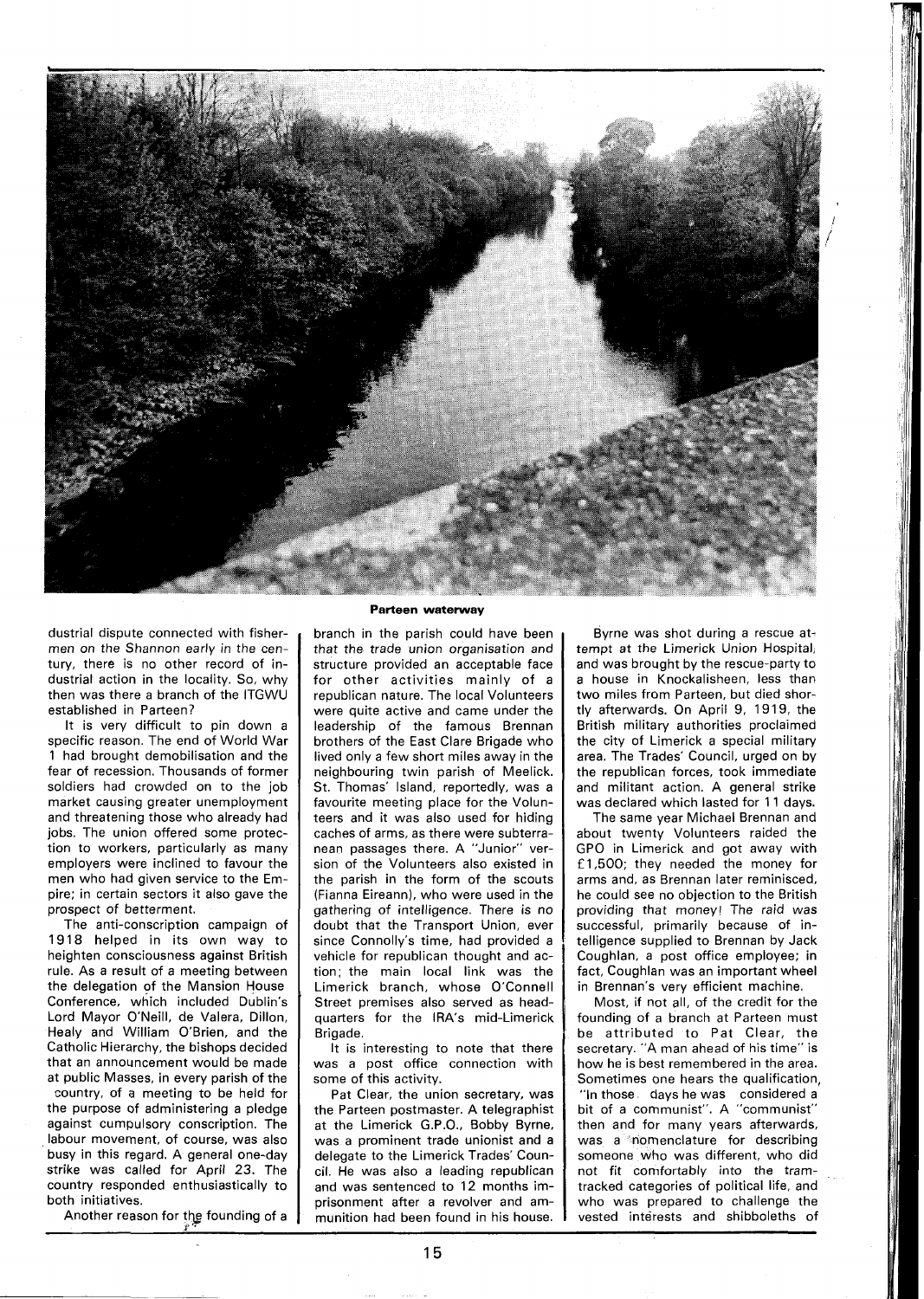

dustrial dispute connected with fishermen on the Shannon early in the century, there is no other record of industrial action in the locality. So, why then was there a branch of the ITGWU established in Parteen?

It is very difficult to pin down a specific reason. The end of World War 1 had brought demobilisation and the fear of recession. Thousands of former soldiers had crowded on to the job market causing greater unemployment and threatening those who already had jobs. The union offered some protection to workers, particularly as many employers were inclined to favour the men who had given service to the Empire; in certain sectors it also gave the prospect of betterment.

The anti-conscription campaign of 1918 helped in its own way to heighten consciousness against British rule. As a result of a meeting between the delegation of the Mansion House Conference, which included Dublin's Lord Mayor O'Neill, de Valera, Dillon, Healy and William O'Brien, and the Catholic Hierarchy, the bishops decided that an announcement would be made at public Masses, in every parish of the

country, of a meeting to be held for the purpose of administering a pledge against cumpulsory conscription. The labour movement, of course, was also busy in this regard. A general one-day strike was called for April 23. The country responded enthusiastically to both initiatives.

Another reason for the founding of a

## **Parteen waterway**

branch in the parish could have been that the trade union organisation and structure provided an acceptable face for other activities mainly of a republican nature. The local Volunteers were quite active and came under the leadership of the famous Brennan brothers of the East Clare Brigade who lived only a few short miles away in the neighbouring twin parish of Meelick. St. Thomas' Island, reportedly, was a favourite meeting place for the Volunteers and it was also used for hiding caches of arms, as there were subterranean passages there. A "Junior" version of the Volunteers also existed in the parish in the form of the scouts (Fianna Eireann), who were used in the gathering of intelligence. There is no doubt that the Transport Union, ever since Connolly's time, had provided a vehicle for republican thought and action; the main local link was the Limerick branch, whose O'Connell Street premises also served as headquarters for the IRA's mid-Limerick Brigade.

It is interesting to note that there was a post office connection with some of this activity.

Pat Clear, the union secretary, was the Parteen postmaster. A telegraphist at the Limerick G.P.O., Bobby Byrne, was a prominent trade unionist and a delegate to the Limerick Trades' Council. He was also a leading republican and was sentenced to 12 months imprisonment after a revolver and ammunition had been found in his house.

Byrne was shot during a rescue attempt at the Limerick Union Hospital, and was brought by the rescue-party to a house in Knockalisheen, less than two miles from Parteen, but died shortly afterwards. On April 9, 1919, the British military authorities proclaimed the city of Limerick a special military area. The Trades' Council, urged on by the republican forces, took immediate and militant action. A general strike was declared which lasted for 11 days.

The same year Michael Brennan and about twenty Volunteers raided the GPO in Limerick and got away with £1,500; they needed the money for arms and, as Brennan later reminisced, he could see no objection to the British providing that money! The raid was successful, primarily because of intelligence supplied to Brennan by Jack Coughlan, a post office employee; in fact, Coughlan was an important wheel in Brennan's very efficient machine.

Most, if not all, of the credit for the founding of a branch at Parteen must be attributed to Pat Clear, the secretary. "A man ahead of his time" is how he is best remembered in the area. Sometimes one hears the qualification, "In those days he was considered a bit of a communist". A "communist" then and for many years afterwards, was a nomenclature for describing someone who was different, who did not fit comfortably into the tramtracked categories of political life, and who was prepared to challenge the vested interests and shibboleths of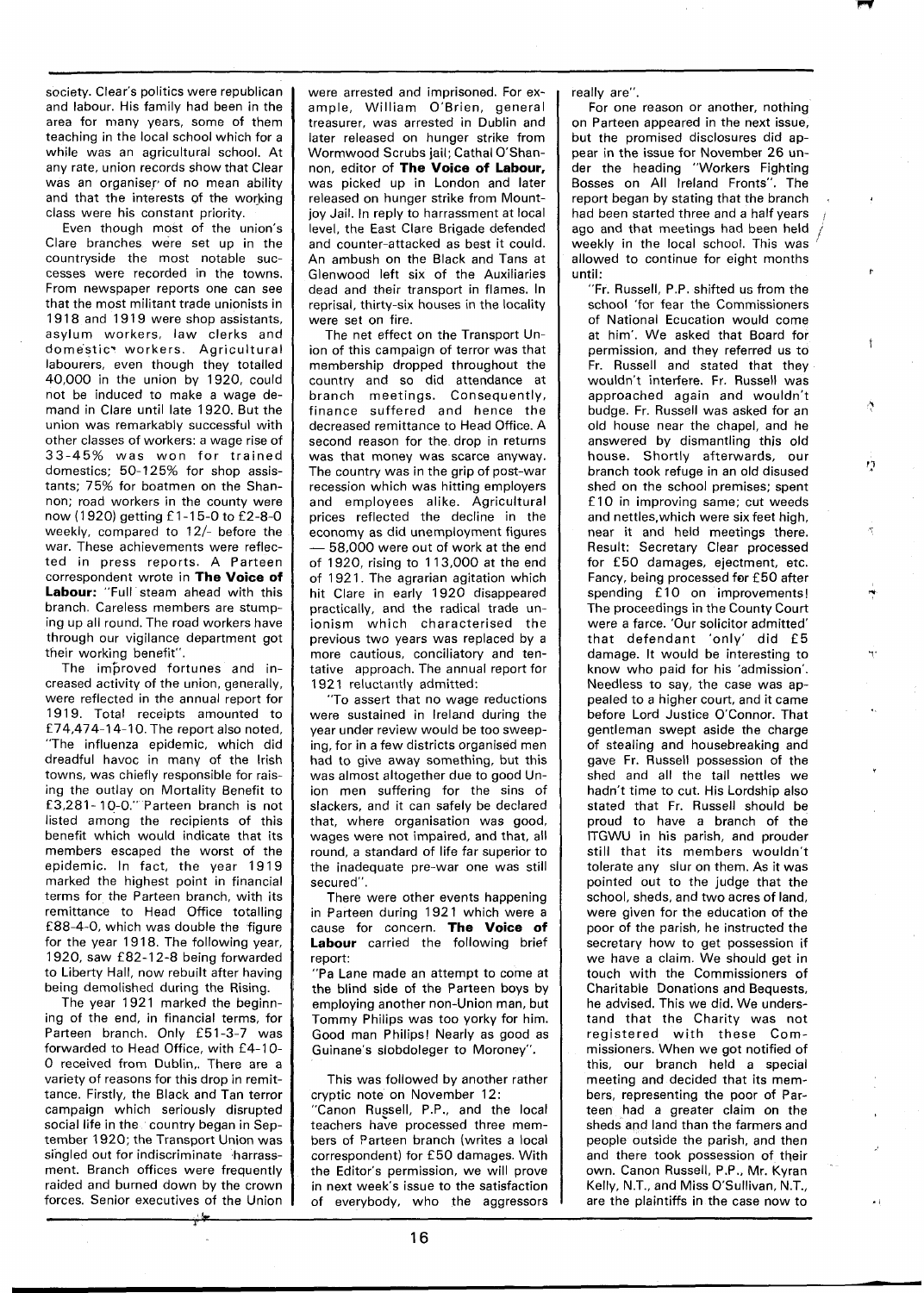society. Clear's politics were republican and labour. His family had been in the area for many years, some of them teaching in the local school which for a while was an agricultural school. At any rate, union records show that Clear was an organiser of no mean ability and that the interests of the working class were his constant priority.

--

Even though most of the union's Clare branches were set up in the countryside the most notable successes were recorded in the towns. From newspaper reports one can see that the most militant trade unionists in 1918 and 1919 were shop assistants, asylum workers, law clerks and domestic\* workers. Agricultural labourers, even though they totalled 40,000 in the union by 1920, could not be induced to make a wage demand in Clare until late 1920. But the union was remarkably successful with other classes of workers: a wage rise of 33-45% was won for trained domestics; 50-125% for shop assistants; 75% for boatmen on the Shannon; road workers in the county were now (1920) getting £1-15-0 to £2-8-0 weekly, compared to  $12/-$  before the war. These achievements were reflected in press reports. A Parteen correspondent wrote in **The Voice of Labour:** "Full steam ahead with this branch. Careless members are stumping up all round. The road workers have through our vigilance department got their working benefit".

The improved fortunes and increased activity of the union, generally, were reflected in the annual report for 1919. Total receipts amounted to f 74,474-1 4-1 0. The report also noted, "The influenza epidemic, which did dreadful havoc in many of the Irish towns, was chiefly responsible for raising the outlay on Mortality Benefit to E 3,281 - 10-0." Parteen branch is not listed among the recipients of this benefit which would indicate that its members escaped the worst of the epidemic. In fact, the year 1919 marked the highest point in financial terms for the Parteen branch, with its remittance to Head Office totalling f 88-4-0, which was double the figure for the year 1918. The following year, 1920, saw £82-12-8 being forwarded to Liberty Hall, now rebuilt after having being demolished during the Rising.

The year 1921 marked the beginning of the end, in financial terms, for Parteen branch. Only £51-3-7 was forwarded to Head Office, with £4-10-0 received from Dublin,. There are a variety of reasons for this drop in remittance. Firstly, the Black and Tan terror campaign which seriously disrupted social life in the country began in September 1920; the Transport Union was singled out for indiscriminate harrassment. Branch offices were frequently raided and burned down by the crown forces. Senior executives of the Union were arrested and imprisoned. For example, William O'Brien, general treasurer, was arrested in Dublin and later released on hunger strike from Wormwood Scrubs jail; Cathal O'Shannon, editor of **The Voice of Labour,**  was picked up in London and later released on hunger strike from Mountjoy Jail. In reply to harrassment at local level, the East Clare Brigade defended and counter-attacked as best it could. An ambush on the Black and Tans at Glenwood left six of the Auxiliaries dead and their transport in flames. In reprisal, thirty-six houses in the locality were set on fire.

The net effect on the Transport Union of this campaign of terror was that membership dropped throughout the country and so did attendance at branch meetings. Consequently, finance suffered and hence the decreased remittance to Head Office. A second reason for the drop in returns was that money was scarce anyway. The country was in the grip of post-war recession which was hitting employers and employees alike. Agricultural prices reflected the decline in the economy as did unemployment figures prices reflected the decline in the<br>economy as did unemployment figures<br>- 58,000 were out of work at the end<br>of 1920 riging to 113,000 at the end of 1920, rising to 1 13,000 at the end of 1921. The agrarian agitation which hit Clare in early 1920 disappeared practically, and the radical trade unionism which characterised the previous two years was replaced by a more cautious, conciliatory and tentative approach. The annual report for 1921 reluctaritly admitted:

"To assert that no wage reductions were sustained in Ireland during the year under review would be too sweeping, for in a few districts organised men had to give away something, but this was almost altogether due to good Union men suffering for the sins of slackers, and it can safely be declared that, where organisation was good, wages were not impaired, and that, all round, a standard of life far superior to the inadequate pre-war one was still secured".

There were other events happening in Parteen during 1921 which were a cause for concern. **The Voice of Labour** carried the following brief report:

"Pa Lane made an attempt to come at the blind side of the Parteen boys by employing another non-Union man, but Tommy Philips was too yorky for him. Good man Philips! Nearly as good as Guinane's slobdoleger to Moroney".

This was followed by another rather cryptic note on November 12: "Canon Russell, P.P., and the local teachers have processed three members of Parteen branch (writes a local correspondent) for £50 damages. With the Editor's permission, we will prove in next week's issue to the satisfaction of everybody, who the aggressors really are".

For one reason or another, nothing on Parteen appeared in the next issue, but the promised disclosures did appear in the issue for November 26 under the heading "Workers Fighting Bosses on All Ireland Fronts". The report began by stating that the branch<br>had been started three and a half years ago and that meetings had been held weekly in the local school. This was i allowed to continue for eight months until:

"Fr. Russell, P.P. shifted us from the school 'for fear the Commissioners of National Ecucation would come at him'. We asked that Board for permission, and they referred us to Fr. Russell and stated that they wouldn't interfere. Fr. Russell was approached again and wouldn't budge. Fr. Russell was asked for an old house near the chapel, and he answered by dismantling this old house. Shortly afterwards, our branch took refuge in an old disused shed on the school premises; spent f 10 in improving same; cut weeds and nettles,which were six feet high, near it and held meetings there. Result: Secretary Clear processed for £50 damages, ejectment, etc. Fancy, being processed for £50 after spending £10 on improvements! The proceedings in the County Court were a farce. 'Our solicitor admitted' that defendant 'only' did **f** 5 damage. It would be interesting to know who paid for his 'admission'. Needless to say, the case was appealed to a higher court, and it came before Lord Justice O'Connor. That gentleman swept aside the charge of stealing and housebreaking and gave Fr. Russell possession of the shed and all the tall nettles we hadn't time to cut. His Lordship also stated that Fr. Russell should be proud to have a branch of the ITGWU in his parish, and prouder still that its members wouldn't tolerate any slur on them. As it was pointed out to the judge that the school, sheds, and two acres of land, were given for the education of the poor of the parish, he instructed the secretary how to get possession if we have a claim. We should get in touch with the Commissioners of Charitable Donations and Bequests, he advised. This we did. We understand that the Charity was not registered with these Commissioners. When we got notified of this, our branch held a special meeting and decided that its members, representing the poor of Parteen had a greater claim on the sheds and land than the farmers and people outside the parish, and then and there took possession of their own. Canon Russell, P.P., Mr. Kyran Kelly, N.T., and Miss O'Sullivan, N.T., are the plaintiffs in the case now to

ņ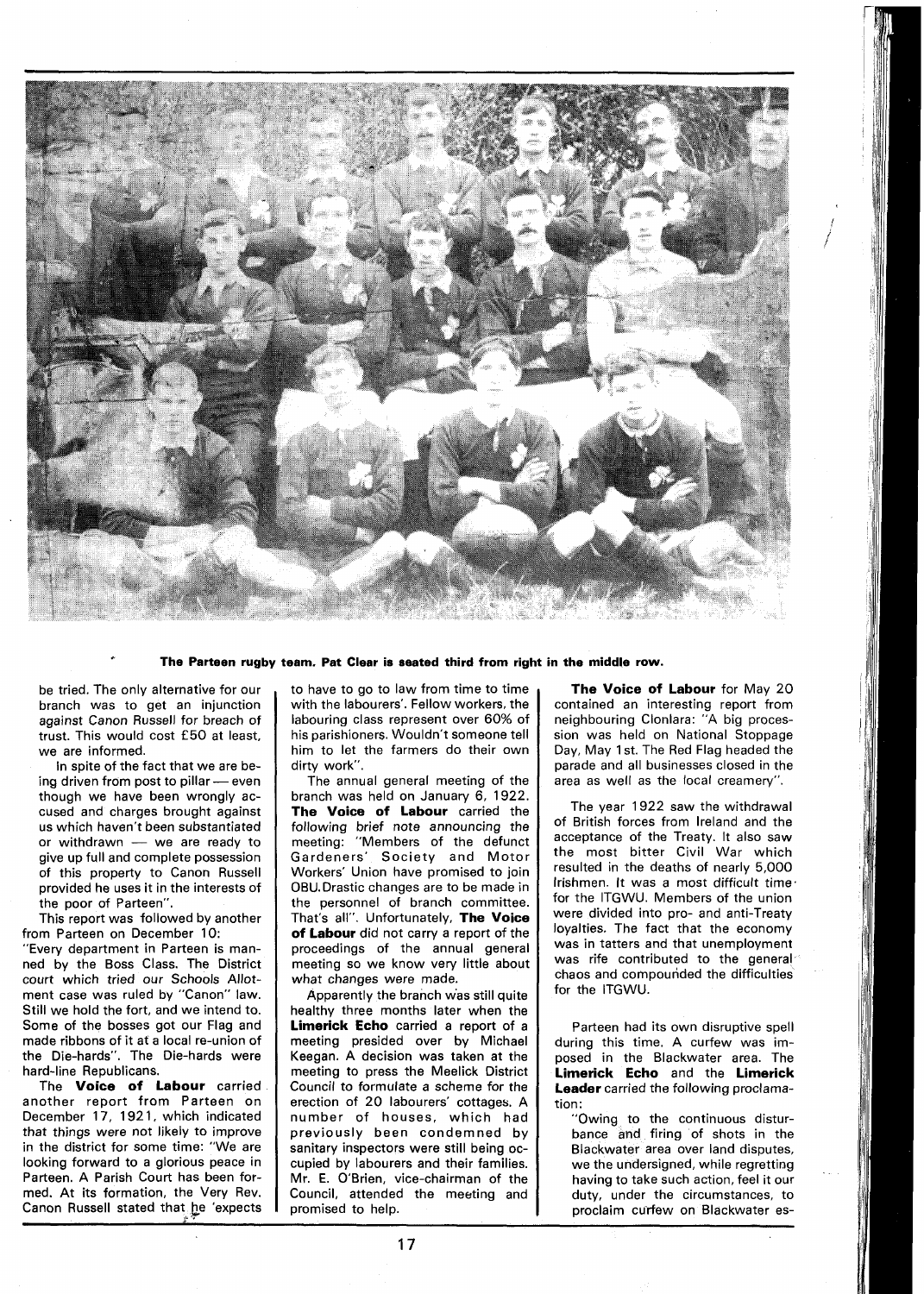

**The Parteen rugby team. Pat Clear is seated third from right in the middle row.** 

be tried. The only alternative for our branch was to get an injunction against Canon Russell for breach of trust. This would cost **f 50** at least, we are informed.

In spite of the fact that we are being driven from post to pillar - even though we have been wrongly accused and charges brought against<br>us which haven't been substantiated<br>or withdrawn — we are ready to<br>give un full and complete possession us which haven't been substantiated<br>or withdrawn - we are ready to give up full and complete possession of this property to Canon Russell provided he uses it in the interests of the poor of Parteen".

This report was followed by another from Parteen on December 10: "Every department in Parteen is manned by the Boss Class. The District court which tried our Schools Allotment case was ruled by "Canon" law. Still we hold the fort, and we intend to. Some of the bosses got our Flag and made ribbons of it at a local re-union of the Die-hards". The Die-hards were hard-line Republicans.

The **Voice of Labour** carried another report from Parteen on December **17, 192** 1, which indicated that things were not likely to improve in the district for some time: "We are looking forward to a glorious peace in Parteen. A Parish Court has been formed. At its formation, the Very Rev. Canon Russell stated that he 'expects to have to go to law from time to time with the labourers'. Fellow workers, the labouring class represent over **60%** of his parishioners. Wouldn't someone tell him to let the farmers do their own dirty work".

The annual general meeting of the branch was held on January **6, 1922. The Voice of Labour** carried the following brief note announcing the meeting: "Members of the defunct Gardeners' Society and Motor Workers' Union have promised to join 0BU.Drastic changes are to be made in the personnel of branch committee. That's all". Unfortunately, **The Voice of Labour** did not carry a report of the proceedings of the annual general meeting so we know very little about what changes were made.

Apparently the branch was still quite healthy three months later when the **Limerick Echo** carried a report of a meeting presided over by Michael Keegan. A decision was taken at the meeting to press the Meelick District Council to formulate a scheme for the erection of **20** labourers' cottages. A number of houses, which had previously been condemned by sanitary inspectors were still being occupied by labourers and their families. Mr. E. O'Brien, vice-chairman of the Council, attended the meeting and promised to help.

**The Voice of Labour** for May **20**  contained an interesting report from neighbouring Clonlara: "A big procession was held on National Stoppage Day, May **I** st. The Red Flag headed the parade and all businesses closed in the area as well as the local creamery".

The year **1922** saw the withdrawal of British forces from Ireland and the acceptance of the Treaty. It also saw the most bitter Civil War which resulted in the deaths of nearly **5,000**  Irishmen. It was a most difficult time. for the ITGWU. Members of the union were divided into pro- and anti-Treaty loyalties. The fact that the economy was in tatters and that unemployment was rife contributed to the general chaos and compounded the difficulties for the ITGWU.

Parteen had its own disruptive spell during this time. A curfew was imposed in the Blackwater area. The **Limerick Echo** and the **Limerick Leader** carried the following proclamation:

"Owing to the continuous disturbance and firing of shots in the Blackwater area over land disputes, we the undersigned, while regretting having to take such action, feel it our duty, under the circumstances, to proclaim curfew on Blackwater es-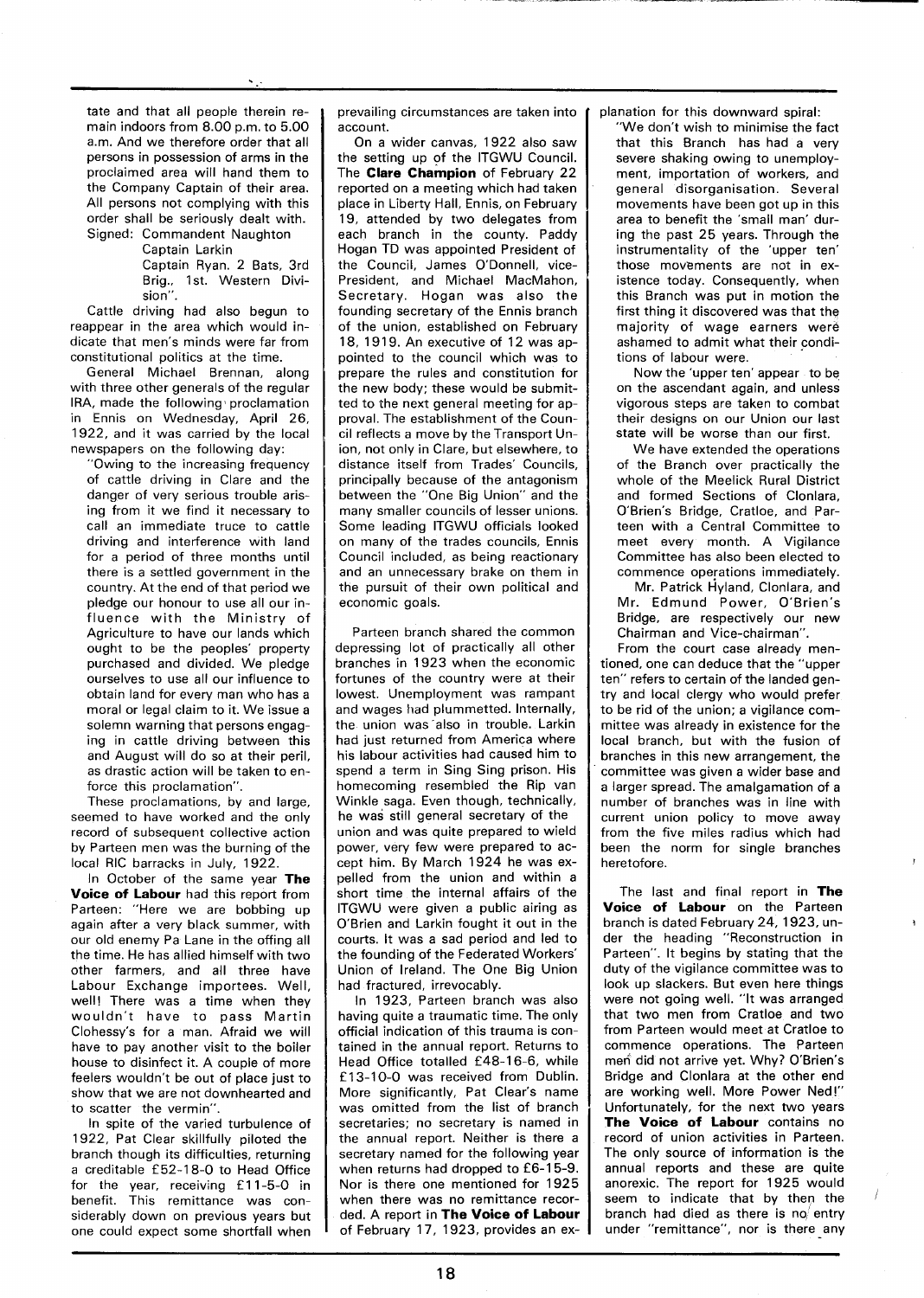tate and that all people therein remain indoors from 8.00 p.m. to 5.00 a.m. And we therefore order that all persons in possession of arms in the proclaimed area will hand them to the Company Captain of their area. All persons not complying with this order shall be seriously dealt with. Signed: Commandent Naughton

> Cantain Larkin Captain Ryan. 2 Bats, 3rd

Brig., 1st. Western Division". Cattle driving had also begun to

reappear in the area which would indicate that men's minds were far from constitutional politics at the time.

General Michael Brennan, along with three other generals of the regular IRA, made the following proclamation in Ennis on Wednesday, April 26, 1922, and it was carried by the local newspapers on the following day:

'Owing to the increasing frequency of cattle driving in Clare and the danger of very serious trouble arising from it we find it necessary to call an immediate truce to cattle driving and interference with land for a period of three months until there is a settled government in the country. At the end of that period we pledge our honour to use all our influence with the Ministry of Agriculture to have our lands which ought to be the peoples' property purchased and divided. We pledge ourselves to use all our influence to obtain land for every man who has a moral or legal claim to it. We issue a solemn warning that persons engaging in cattle driving between this and August will do so at their peril, as drastic action will be taken to enforce this proclamation".

These proclamations, by and large, seemed to have worked and the only record of subsequent collective action by Parteen men was the burning of the local RIC barracks in July, 1922.

In October of the same year The Voice of Labour had this report from Parteen: "Here we are bobbing up again after a very black summer, with our old enemy Pa Lane in the offing all the time. He has allied himself with two other farmers, and all three have Labour Exchange importees. Well, well! There was a time when they wouldn't have to pass Martin Clohessy's for a man. Afraid we will have to pay another visit to the boiler house to disinfect it. A couple of more feelers wouldn't be out of place just to show that we are not downhearted and to scatter "the vermin".

In spite of the varied turbulence of 1922, Pat Clear skillfully piloted the branch though its difficulties, returning a creditable £52-18-0 to Head Office for the year, receiving £11-5-0 in benefit. This remittance was considerably down on previous years but one could expect some shortfall when prevailing circumstances are taken into account.

On a wider canvas, 1922 also saw the setting up of the ITGWU Council. The Clare Champion of February 22 reported on a meeting which had taken place in Liberty Hall, Ennis, on February 19, attended by two delegates from each branch in the county. Paddy Hogan TD was appointed President of the Council. James O'Donnell, vice-President, and Michael MacMahon, Secretary. Hogan was also the founding secretary of the Ennis branch of the union, established on February 18, 1919. An executive of 12 was appointed to the council which was to prepare the rules and constitution for the new body; these would be submitted to the next general meeting for approval. The establishment of the Council reflects a move by the Transport Union, not only in Clare, but elsewhere, to distance itself from Trades' Councils, principally because of the antagonism between the "One Big Union" and the many smaller councils of lesser unions. Some leading ITGWU officials looked on many of the trades councils, Ennis Council included, as being reactionary and an unnecessary brake on them in the pursuit of their own political and economic goals.

Parteen branch shared the common depressing lot of practically all other branches in 1923 when the economic fortunes of the country were at their lowest. Unemployment was rampant and wages had plummetted. Internally, the union was also in trouble. Larkin had just returned from America where his labour activities had caused him to spend a term in Sing Sing prison. His homecoming resembled the Rip van Winkle saga. Even though, technically, he was still general secretary of the union and was quite prepared to wield power, very few were prepared to accept him. By March 1924 he was expelled from the union and within a short time the internal affairs of the ITGWU were given a public airing as O'Brien and Larkin fought it out in the courts. It was a sad period and led to the founding of the Federated Workers' Union of Ireland. The One Big Union had fractured, irrevocably.

In 1923, Parteen branch was also having quite a traumatic time. The only official indication of this trauma is contained in the annual report. Returns to Head Office totalled £48-16-6, while £13-10-0 was received from Dublin. More significantly, Pat Clear's name was omitted from the list of branch secretaries: no secretary is named in the annual report. Neither is there a secretary named for the following year when returns had dropped to £6-15-9. Nor is there one mentioned for 1925 when there was no remittance recorded. A report in The Voice of Labour of February 17, 1923, provides an explanation for this downward spiral:

'We don't wish to minimise the fact that this Branch has had a very severe shaking owing to unemployment, importation of workers, and general disorganisation. Several movements have been got up in this area to benefit the 'small man' during the past 25 years. Through the instrumentality of the 'upper ten' those movements are not in existence today. Consequently, when this Branch was put in motion the first thing it discovered was that the majority of wage earners were ashamed to admit what their conditions of labour were.

Now the 'upper ten' appear to be on the ascendant again, and unless vigorous steps are taken to combat their designs on our Union our last state will be worse than our first.

We have extended the operations of the Branch over practically the whole of the Meelick Rural District and formed Sections of Clonlara, O'Brien's Bridge, Cratloe, and Parteen with a Central Committee to meet every month. A Vigilance Committee has also been elected to commence operations immediately.

Mr. Patrick Hyland, Clonlara, and Mr. Edmund Power, O'Brien's Bridge, are respectively our new Chairman and Vice-chairman".

From the court case already mentioned, one can deduce that the "upper ten" refers to certain of the landed gentry and local clergy who would prefer to be rid of the union; a vigilance committee was already in existence for the local branch, but with the fusion of branches in this new arrangement, the committee was given a wider base and a larger spread. The amalgamation of a number of branches was in line with current union policy to move away from the five miles radius which had been the norm for single branches heretofore.

The last and final report in The Voice of Labour on the Parteen branch is dated February 24, 1923, under the heading "Reconstruction in Parteen". It begins by stating that the duty of the vigilance committee was to look up slackers. But even here things were not going well. "It was arranged that two men from Cratloe and two from Parteen would meet at Cratloe to commence operations. The Parteen men did not arrive yet. Why? O'Brien's Bridge and Clonlara at the other end are working well. More Power Ned!" Unfortunately, for the next two years The Voice of Labour contains no record of union activities in Parteen. The only source of information is the annual reports and these are quite anorexic. The report for 1925 would seem to indicate that by then the branch had died as there is no entry under "remittance", nor is there any